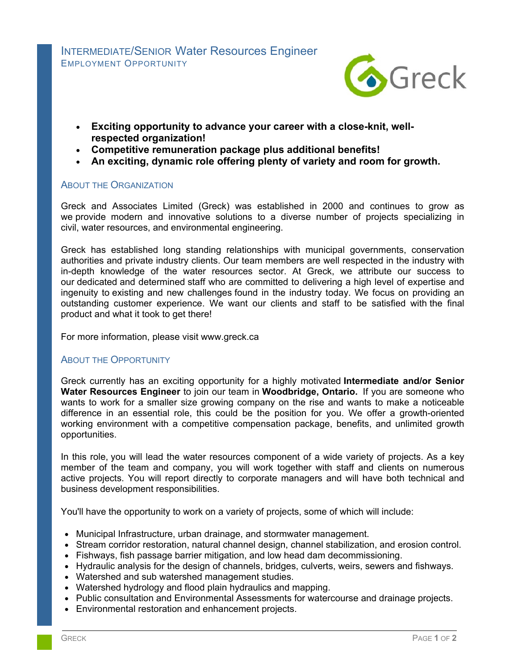

- **Exciting opportunity to advance your career with a close-knit, wellrespected organization!**
- **Competitive remuneration package plus additional benefits!**
- **An exciting, dynamic role offering plenty of variety and room for growth.**

## ABOUT THE ORGANIZATION

Greck and Associates Limited (Greck) was established in 2000 and continues to grow as we provide modern and innovative solutions to a diverse number of projects specializing in civil, water resources, and environmental engineering.

Greck has established long standing relationships with municipal governments, conservation authorities and private industry clients. Our team members are well respected in the industry with in-depth knowledge of the water resources sector. At Greck, we attribute our success to our dedicated and determined staff who are committed to delivering a high level of expertise and ingenuity to existing and new challenges found in the industry today. We focus on providing an outstanding customer experience. We want our clients and staff to be satisfied with the final product and what it took to get there!

For more information, please visit www.greck.ca

## **ABOUT THE OPPORTUNITY**

Greck currently has an exciting opportunity for a highly motivated **Intermediate and/or Senior Water Resources Engineer** to join our team in **Woodbridge, Ontario.** If you are someone who wants to work for a smaller size growing company on the rise and wants to make a noticeable difference in an essential role, this could be the position for you. We offer a growth-oriented working environment with a competitive compensation package, benefits, and unlimited growth opportunities.

In this role, you will lead the water resources component of a wide variety of projects. As a key member of the team and company, you will work together with staff and clients on numerous active projects. You will report directly to corporate managers and will have both technical and business development responsibilities.

You'll have the opportunity to work on a variety of projects, some of which will include:

- Municipal Infrastructure, urban drainage, and stormwater management.
- Stream corridor restoration, natural channel design, channel stabilization, and erosion control.
- Fishways, fish passage barrier mitigation, and low head dam decommissioning.
- Hydraulic analysis for the design of channels, bridges, culverts, weirs, sewers and fishways.
- Watershed and sub watershed management studies.
- Watershed hydrology and flood plain hydraulics and mapping.
- Public consultation and Environmental Assessments for watercourse and drainage projects.
- Environmental restoration and enhancement projects.